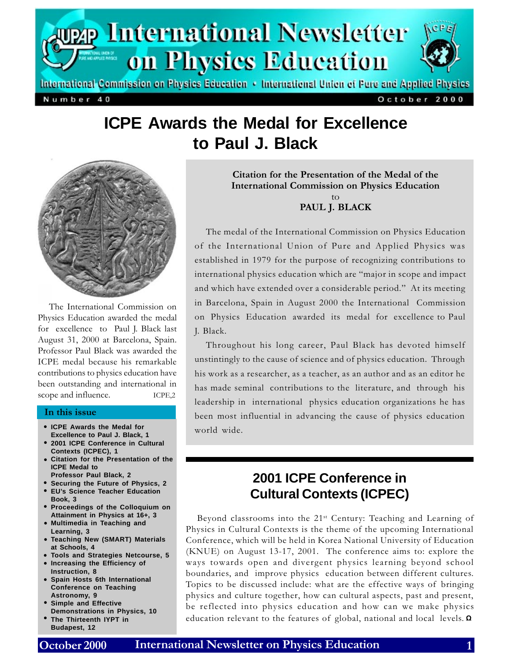

International Commission on Physics Education • International Union of Pure and Applied Physics

Number 40

October 2000

# **ICPE Awards the Medal for Excellence to Paul J. Black**



The International Commission on Physics Education awarded the medal for excellence to Paul J. Black last August 31, 2000 at Barcelona, Spain. Professor Paul Black was awarded the ICPE medal because his remarkable contributions to physics education have been outstanding and international in scope and influence. ICPE,2

#### In this issue

- **ICPE Awards the Medal for Excellence to Paul J. Black, 1**
- **2001 ICPE Conference in Cultural Contexts (ICPEC), 1**
- Citation for the Presentation of the **ICPE Medal to**
- **Professor Paul Black, 2**
- **Securing the Future of Physics, 2** •
- **EU's Science Teacher Education Book, 3**
- **Proceedings of the Colloquium on Attainment in Physics at 16+, 3**
- **Multimedia in Teaching and Learning, 3**
- **Teaching New (SMART) Materials at Schools, 4**
- **Tools and Strategies Netcourse, 5** •
- **Increasing the Efficiency of Instruction, 8**
- **Spain Hosts 6th International Conference on Teaching Astronomy, 9**
- **Simple and Effective Demonstrations in Physics, 10**
- **The Thirteenth IYPT in Budapest, 12**

Citation for the Presentation of the Medal of the International Commission on Physics Education to PAUL J. BLACK

The medal of the International Commission on Physics Education of the International Union of Pure and Applied Physics was established in 1979 for the purpose of recognizing contributions to international physics education which are "major in scope and impact and which have extended over a considerable period." At its meeting in Barcelona, Spain in August 2000 the International Commission on Physics Education awarded its medal for excellence to Paul J. Black.

Throughout his long career, Paul Black has devoted himself unstintingly to the cause of science and of physics education. Through his work as a researcher, as a teacher, as an author and as an editor he has made seminal contributions to the literature, and through his leadership in international physics education organizations he has been most influential in advancing the cause of physics education world wide.

## **2001 ICPE Conference in Cultural Contexts (ICPEC)**

Beyond classrooms into the 21<sup>st</sup> Century: Teaching and Learning of Physics in Cultural Contexts is the theme of the upcoming International Conference, which will be held in Korea National University of Education (KNUE) on August 13-17, 2001. The conference aims to: explore the ways towards open and divergent physics learning beyond school boundaries, and improve physics education between different cultures. Topics to be discussed include: what are the effective ways of bringing physics and culture together, how can cultural aspects, past and present, be reflected into physics education and how can we make physics • The Thirteenth IYPT in education relevant to the features of global, national and local levels. Ω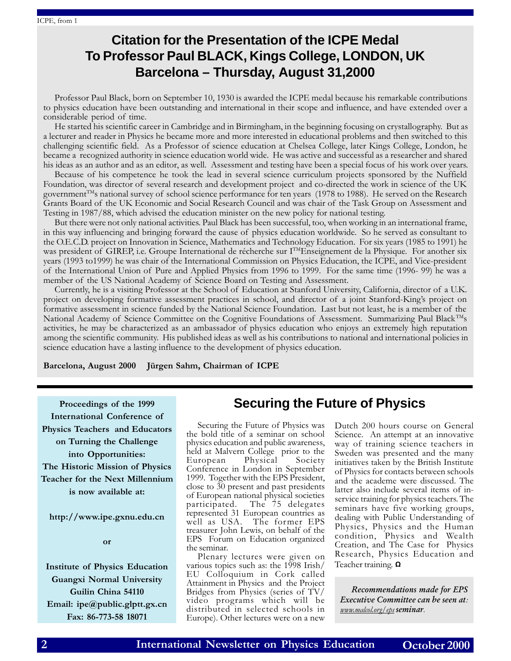## **Citation for the Presentation of the ICPE Medal To Professor Paul BLACK, Kings College, LONDON, UK Barcelona – Thursday, August 31,2000**

Professor Paul Black, born on September 10, 1930 is awarded the ICPE medal because his remarkable contributions to physics education have been outstanding and international in their scope and influence, and have extended over a considerable period of time.

He started his scientific career in Cambridge and in Birmingham, in the beginning focusing on crystallography. But as a lecturer and reader in Physics he became more and more interested in educational problems and then switched to this challenging scientific field. As a Professor of science education at Chelsea College, later Kings College, London, he became a recognized authority in science education world wide. He was active and successful as a researcher and shared his ideas as an author and as an editor, as well. Assessment and testing have been a special focus of his work over years.

Because of his competence he took the lead in several science curriculum projects sponsored by the Nuffield Foundation, was director of several research and development project and co-directed the work in science of the UK government<sup>TM</sup>s national survey of school science performance for ten years (1978 to 1988). He served on the Research Grants Board of the UK Economic and Social Research Council and was chair of the Task Group on Assessment and Testing in 1987/88, which advised the education minister on the new policy for national testing.

But there were not only national activities. Paul Black has been successful, too, when working in an international frame, in this way influencing and bringing forward the cause of physics education worldwide. So he served as consultant to the O.E.C.D. project on Innovation in Science, Mathematics and Technology Education. For six years (1985 to 1991) he was president of GIREP, i.e. Groupe International de récherche sur I<sup>TM</sup>Enseignement de la Physique. For another six years (1993 to1999) he was chair of the International Commission on Physics Education, the ICPE, and Vice-president of the International Union of Pure and Applied Physics from 1996 to 1999. For the same time (1996- 99) he was a member of the US National Academy of Science Board on Testing and Assessment.

Currently, he is a visiting Professor at the School of Education at Stanford University, California, director of a U.K. project on developing formative assessment practices in school, and director of a joint Stanford-Kings project on formative assessment in science funded by the National Science Foundation. Last but not least, he is a member of the National Academy of Science Committee on the Cognitive Foundations of Assessment. Summarizing Paul Black<sup>TM</sup>s activities, he may be characterized as an ambassador of physics education who enjoys an extremely high reputation among the scientific community. His published ideas as well as his contributions to national and international policies in science education have a lasting influence to the development of physics education.

Barcelona, August 2000 Jürgen Sahm, Chairman of ICPE

Proceedings of the 1999 International Conference of Physics Teachers and Educators on Turning the Challenge into Opportunities: The Historic Mission of Physics Teacher for the Next Millennium is now available at:

http://www.ipe.gxnu.edu.cn

or

Institute of Physics Education Guangxi Normal University Guilin China 54110 Email: ipe@public.glptt.gx.cn Fax: 86-773-58 18071

### **Securing the Future of Physics**

Securing the Future of Physics was the bold title of a seminar on school physics education and public awareness, held at Malvern College prior to the<br>European Physical Society European Physical Society Conference in London in September 1999. Together with the EPS President, close to 30 present and past presidents of European national physical societies participated. The 75 delegates represented 31 European countries as well as USA. The former EPS treasurer John Lewis, on behalf of the EPS Forum on Education organized the seminar.

Plenary lectures were given on various topics such as: the 1998 Irish/ EU Colloquium in Cork called Attainment in Physics and the Project Bridges from Physics (series of TV/ video programs which will be distributed in selected schools in Europe). Other lectures were on a new

Dutch 200 hours course on General Science. An attempt at an innovative way of training science teachers in Sweden was presented and the many initiatives taken by the British Institute of Physics for contacts between schools and the academe were discussed. The latter also include several items of inservice training for physics teachers. The seminars have five working groups, dealing with Public Understanding of Physics, Physics and the Human condition, Physics and Wealth Creation, and The Case for Physics Research, Physics Education and Teacher training. **Ω** 

Recommendations made for EPS Executive Committee can be seen at: www.malcol.org/eps seminar.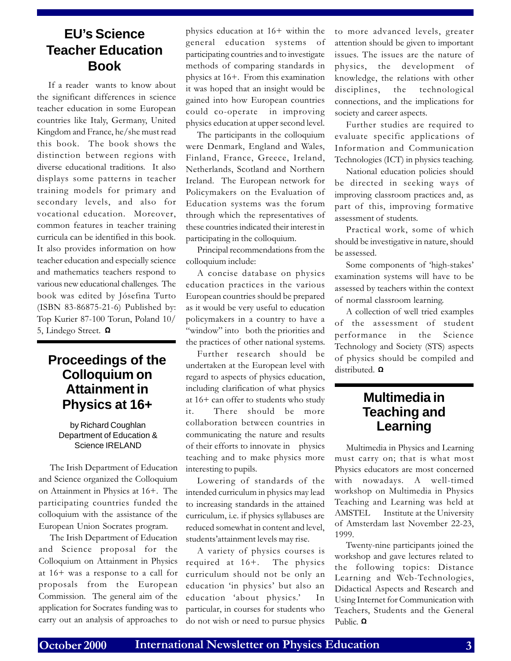### **EU's Science Teacher Education Book**

If a reader wants to know about the significant differences in science teacher education in some European countries like Italy, Germany, United Kingdom and France, he/she must read this book. The book shows the distinction between regions with diverse educational traditions. It also displays some patterns in teacher training models for primary and secondary levels, and also for vocational education. Moreover, common features in teacher training curricula can be identified in this book. It also provides information on how teacher education and especially science and mathematics teachers respond to various new educational challenges. The book was edited by Jósefina Turto (ISBN 83-86875-21-6) Published by: Top Kurier 87-100 Torun, Poland 10/ 5, Lindego Street. Ω

### **Proceedings of the Colloquium on Attainment in Physics at 16+**

#### by Richard Coughlan Department of Education & Science IRELAND

The Irish Department of Education and Science organized the Colloquium on Attainment in Physics at 16+. The participating countries funded the colloquium with the assistance of the European Union Socrates program.

The Irish Department of Education and Science proposal for the Colloquium on Attainment in Physics at 16+ was a response to a call for proposals from the European Commission. The general aim of the application for Socrates funding was to carry out an analysis of approaches to

physics education at 16+ within the general education systems of participating countries and to investigate methods of comparing standards in physics at 16+. From this examination it was hoped that an insight would be gained into how European countries could co-operate in improving physics education at upper second level.

The participants in the colloquium were Denmark, England and Wales, Finland, France, Greece, Ireland, Netherlands, Scotland and Northern Ireland. The European network for Policymakers on the Evaluation of Education systems was the forum through which the representatives of these countries indicated their interest in participating in the colloquium.

Principal recommendations from the colloquium include:

A concise database on physics education practices in the various European countries should be prepared as it would be very useful to education policymakers in a country to have a "window" into both the priorities and the practices of other national systems.

Further research should be undertaken at the European level with regard to aspects of physics education, including clarification of what physics at 16+ can offer to students who study it. There should be more collaboration between countries in communicating the nature and results of their efforts to innovate in physics teaching and to make physics more interesting to pupils.

Lowering of standards of the intended curriculum in physics may lead to increasing standards in the attained curriculum, i.e. if physics syllabuses are reduced somewhat in content and level, students' attainment levels may rise.

A variety of physics courses is required at 16+. The physics curriculum should not be only an education 'in physics' but also an education 'about physics.' In particular, in courses for students who do not wish or need to pursue physics to more advanced levels, greater attention should be given to important issues. The issues are the nature of physics, the development of knowledge, the relations with other disciplines, the technological connections, and the implications for society and career aspects.

Further studies are required to evaluate specific applications of Information and Communication Technologies (ICT) in physics teaching.

National education policies should be directed in seeking ways of improving classroom practices and, as part of this, improving formative assessment of students.

Practical work, some of which should be investigative in nature, should be assessed.

Some components of 'high-stakes' examination systems will have to be assessed by teachers within the context of normal classroom learning.

A collection of well tried examples of the assessment of student performance in the Science Technology and Society (STS) aspects of physics should be compiled and distributed. **Ω** 

### **Multimedia in Teaching and Learning**

Multimedia in Physics and Learning must carry on; that is what most Physics educators are most concerned with nowadays. A well-timed workshop on Multimedia in Physics Teaching and Learning was held at AMSTEL Institute at the University of Amsterdam last November 22-23, 1999.

Twenty-nine participants joined the workshop and gave lectures related to the following topics: Distance Learning and Web-Technologies, Didactical Aspects and Research and Using Internet for Communication with Teachers, Students and the General Public. **Ω**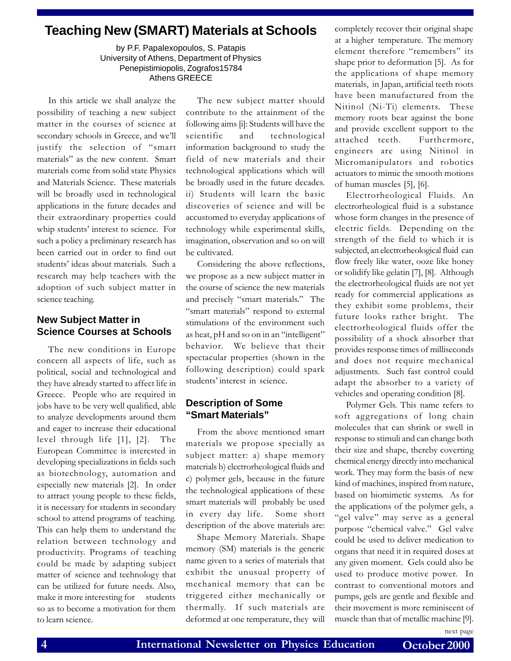### **Teaching New (SMART) Materials at Schools**

by P.F. Papalexopoulos, S. Patapis University of Athens, Department of Physics Penepistimiopolis, Zografos15784 Athens GREECE

In this article we shall analyze the possibility of teaching a new subject matter in the courses of science at secondary schools in Greece, and we'll justify the selection of "smart materials" as the new content. Smart materials come from solid state Physics and Materials Science. These materials will be broadly used in technological applications in the future decades and their extraordinary properties could whip students' interest to science. For such a policy a preliminary research has been carried out in order to find out students' ideas about materials. Such a research may help teachers with the adoption of such subject matter in science teaching.

### **New Subject Matter in Science Courses at Schools**

The new conditions in Europe concern all aspects of life, such as political, social and technological and they have already started to affect life in Greece. People who are required in jobs have to be very well qualified, able to analyze developments around them and eager to increase their educational level through life [1], [2]. The European Committee is interested in developing specializations in fields such as biotechnology, automation and especially new materials [2]. In order to attract young people to these fields, it is necessary for students in secondary school to attend programs of teaching. This can help them to understand the relation between technology and productivity. Programs of teaching could be made by adapting subject matter of science and technology that can be utilized for future needs. Also, make it more interesting for students so as to become a motivation for them to learn science.

The new subject matter should contribute to the attainment of the following aims [i]: Students will have the scientific and technological information background to study the field of new materials and their technological applications which will be broadly used in the future decades. ii) Students will learn the basic discoveries of science and will be accustomed to everyday applications of technology while experimental skills, imagination, observation and so on will be cultivated.

Considering the above reflections, we propose as a new subject matter in the course of science the new materials and precisely "smart materials." The "smart materials" respond to external stimulations of the environment such as heat, pH and so on in an "intelligent" behavior. We believe that their spectacular properties (shown in the following description) could spark students' interest in science.

### **Description of Some "Smart Materials"**

From the above mentioned smart materials we propose specially as subject matter: a) shape memory materials b) electrorheological fluids and c) polymer gels, because in the future the technological applications of these smart materials will probably be used in every day life. Some short description of the above materials are:

Shape Memory Materials. Shape memory (SM) materials is the generic name given to a series of materials that exhibit the unusual property of mechanical memory that can be triggered either mechanically or thermally. If such materials are deformed at one temperature, they will

completely recover their original shape at a higher temperature. The memory element therefore "remembers" its shape prior to deformation [5]. As for the applications of shape memory materials, in Japan, artificial teeth roots have been manufactured from the Nitinol (Ni-Ti) elements. These memory roots bear against the bone and provide excellent support to the attached teeth. Furthermore, engineers are using Nitinol in Micromanipulators and robotics actuators to mimic the smooth motions of human muscles [5], [6].

Electrorheological Fluids. An electrorheological fluid is a substance whose form changes in the presence of electric fields. Depending on the strength of the field to which it is subjected, an electrorheological fluid can flow freely like water, ooze like honey or solidify like gelatin [7], [8]. Although the electrorheological fluids are not yet ready for commercial applications as they exhibit some problems, their future looks rather bright. The electrorheological fluids offer the possibility of a shock absorber that provides response times of milliseconds and does not require mechanical adjustments. Such fast control could adapt the absorber to a variety of vehicles and operating condition [8].

Polymer Gels. This name refers to soft aggregations of long chain molecules that can shrink or swell in response to stimuli and can change both their size and shape, thereby coverting chemical energy directly into mechanical work. They may form the basis of new kind of machines, inspired from nature, based on biomimetic systems. As for the applications of the polymer gels, a "gel valve" may serve as a general purpose "chemical valve." Gel valve could be used to deliver medication to organs that need it in required doses at any given moment. Gels could also be used to produce motive power. In contrast to conventional motors and pumps, gels are gentle and flexible and their movement is more reminiscent of muscle than that of metallic machine [9].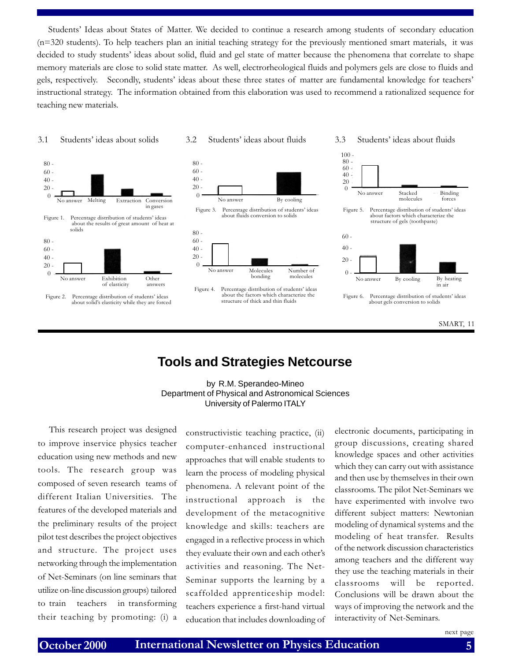Students' Ideas about States of Matter. We decided to continue a research among students of secondary education (n=320 students). To help teachers plan an initial teaching strategy for the previously mentioned smart materials, it was decided to study students' ideas about solid, fluid and gel state of matter because the phenomena that correlate to shape memory materials are close to solid state matter. As well, electrorheological fluids and polymers gels are close to fluids and gels, respectively. Secondly, students' ideas about these three states of matter are fundamental knowledge for teachers' instructional strategy. The information obtained from this elaboration was used to recommend a rationalized sequence for teaching new materials.

3.1 Students ideas about solids 3.2 Students ideas about fluids 3.3 Students ideas about fluids



about solid's elasticity while they are forced







Figure 4. Percentage distribution of students' ideas about the factors which characterize the structure of thick and thin fluids







### **Tools and Strategies Netcourse**

#### by R.M. Sperandeo-Mineo Department of Physical and Astronomical Sciences University of Palermo ITALY

This research project was designed to improve inservice physics teacher education using new methods and new tools. The research group was composed of seven research teams of different Italian Universities. The features of the developed materials and the preliminary results of the project pilot test describes the project objectives and structure. The project uses networking through the implementation of Net-Seminars (on line seminars that utilize on-line discussion groups) tailored to train teachers in transforming their teaching by promoting: (i) a

constructivistic teaching practice, (ii) computer-enhanced instructional approaches that will enable students to learn the process of modeling physical phenomena. A relevant point of the instructional approach is the development of the metacognitive knowledge and skills: teachers are engaged in a reflective process in which they evaluate their own and each other's activities and reasoning. The Net-Seminar supports the learning by a scaffolded apprenticeship model: teachers experience a first-hand virtual education that includes downloading of electronic documents, participating in group discussions, creating shared knowledge spaces and other activities which they can carry out with assistance and then use by themselves in their own classrooms. The pilot Net-Seminars we have experimented with involve two different subject matters: Newtonian modeling of dynamical systems and the modeling of heat transfer. Results of the network discussion characteristics among teachers and the different way they use the teaching materials in their classrooms will be reported. Conclusions will be drawn about the ways of improving the network and the interactivity of Net-Seminars.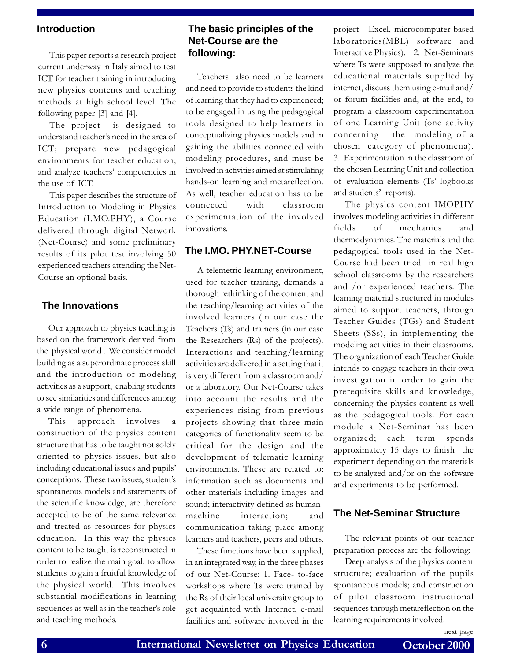#### **Introduction**

This paper reports a research project current underway in Italy aimed to test ICT for teacher training in introducing new physics contents and teaching methods at high school level. The following paper [3] and [4].

The project is designed to understand teacher's need in the area of ICT; prepare new pedagogical environments for teacher education; and analyze teachers' competencies in the use of ICT.

This paper describes the structure of Introduction to Modeling in Physics Education (I.MO.PHY), a Course delivered through digital Network (Net-Course) and some preliminary results of its pilot test involving 50 experienced teachers attending the Net-Course an optional basis.

#### **The Innovations**

Our approach to physics teaching is based on the framework derived from the physical world . We consider model building as a superordinate process skill and the introduction of modeling activities as a support, enabling students to see similarities and differences among a wide range of phenomena.

This approach involves a construction of the physics content structure that has to be taught not solely oriented to physics issues, but also including educational issues and pupils conceptions. These two issues, student's spontaneous models and statements of the scientific knowledge, are therefore accepted to be of the same relevance and treated as resources for physics education. In this way the physics content to be taught is reconstructed in order to realize the main goal: to allow students to gain a fruitful knowledge of the physical world. This involves substantial modifications in learning sequences as well as in the teacher's role and teaching methods.

### **The basic principles of the Net-Course are the following:**

Teachers also need to be learners and need to provide to students the kind of learning that they had to experienced; to be engaged in using the pedagogical tools designed to help learners in conceptualizing physics models and in gaining the abilities connected with modeling procedures, and must be involved in activities aimed at stimulating hands-on learning and metareflection. As well, teacher education has to be connected with classroom experimentation of the involved innovations.

#### **The I.MO. PHY.NET-Course**

A telemetric learning environment, used for teacher training, demands a thorough rethinking of the content and the teaching/learning activities of the involved learners (in our case the Teachers (Ts) and trainers (in our case the Researchers (Rs) of the projects). Interactions and teaching/learning activities are delivered in a setting that it is very different from a classroom and/ or a laboratory. Our Net-Course takes into account the results and the experiences rising from previous projects showing that three main categories of functionality seem to be critical for the design and the development of telematic learning environments. These are related to: information such as documents and other materials including images and sound; interactivity defined as humanmachine interaction; and communication taking place among learners and teachers, peers and others.

These functions have been supplied, in an integrated way, in the three phases of our Net-Course: 1. Face- to-face workshops where Ts were trained by the Rs of their local university group to get acquainted with Internet, e-mail facilities and software involved in the project-- Excel, microcomputer-based laboratories(MBL) software and Interactive Physics). 2. Net-Seminars where Ts were supposed to analyze the educational materials supplied by internet, discuss them using e-mail and/ or forum facilities and, at the end, to program a classroom experimentation of one Learning Unit (one activity concerning the modeling of a chosen category of phenomena). 3. Experimentation in the classroom of the chosen Learning Unit and collection of evaluation elements (Ts' logbooks and students' reports).

The physics content IMOPHY involves modeling activities in different fields of mechanics and thermodynamics. The materials and the pedagogical tools used in the Net-Course had been tried in real high school classrooms by the researchers and /or experienced teachers. The learning material structured in modules aimed to support teachers, through Teacher Guides (TGs) and Student Sheets (SSs), in implementing the modeling activities in their classrooms. The organization of each Teacher Guide intends to engage teachers in their own investigation in order to gain the prerequisite skills and knowledge, concerning the physics content as well as the pedagogical tools. For each module a Net-Seminar has been organized; each term spends approximately 15 days to finish the experiment depending on the materials to be analyzed and/or on the software and experiments to be performed.

#### **The Net-Seminar Structure**

The relevant points of our teacher preparation process are the following:

Deep analysis of the physics content structure; evaluation of the pupils spontaneous models; and construction of pilot classroom instructional sequences through metareflection on the learning requirements involved.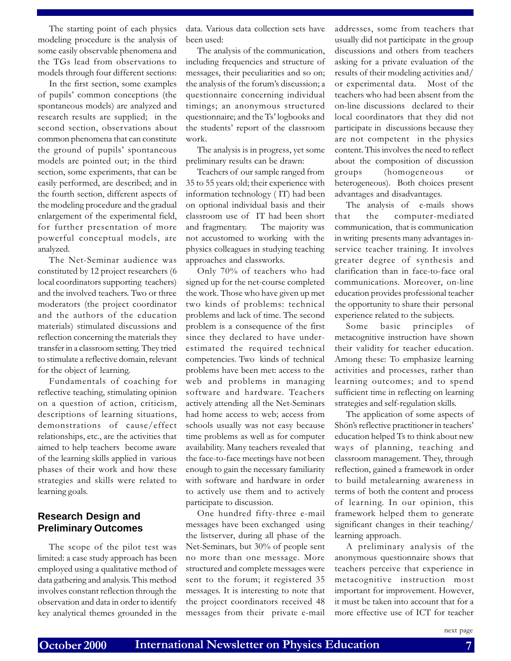The starting point of each physics modeling procedure is the analysis of some easily observable phenomena and the TGs lead from observations to models through four different sections:

In the first section, some examples of pupils' common conceptions (the spontaneous models) are analyzed and research results are supplied; in the second section, observations about common phenomena that can constitute the ground of pupils' spontaneous models are pointed out; in the third section, some experiments, that can be easily performed, are described; and in the fourth section, different aspects of the modeling procedure and the gradual enlargement of the experimental field, for further presentation of more powerful conceptual models, are analyzed.

The Net-Seminar audience was constituted by 12 project researchers (6 local coordinators supporting teachers) and the involved teachers. Two or three moderators (the project coordinator and the authors of the education materials) stimulated discussions and reflection concerning the materials they transfer in a classroom setting. They tried to stimulate a reflective domain, relevant for the object of learning.

Fundamentals of coaching for reflective teaching, stimulating opinion on a question of action, criticism, descriptions of learning situations, demonstrations of cause/effect relationships, etc., are the activities that aimed to help teachers become aware of the learning skills applied in various phases of their work and how these strategies and skills were related to learning goals.

### **Research Design and Preliminary Outcomes**

The scope of the pilot test was limited: a case study approach has been employed using a qualitative method of data gathering and analysis. This method involves constant reflection through the observation and data in order to identify key analytical themes grounded in the

data. Various data collection sets have been used:

The analysis of the communication, including frequencies and structure of messages, their peculiarities and so on; the analysis of the forum's discussion; a questionnaire concerning individual timings; an anonymous structured questionnaire; and the Ts' logbooks and the students' report of the classroom work.

The analysis is in progress, yet some preliminary results can be drawn:

Teachers of our sample ranged from 35 to 55 years old; their experience with information technology ( IT) had been on optional individual basis and their classroom use of IT had been short and fragmentary. The majority was not accustomed to working with the physics colleagues in studying teaching approaches and classworks.

Only 70% of teachers who had signed up for the net-course completed the work. Those who have given up met two kinds of problems: technical problems and lack of time. The second problem is a consequence of the first since they declared to have underestimated the required technical competencies. Two kinds of technical problems have been met: access to the web and problems in managing software and hardware. Teachers actively attending all the Net-Seminars had home access to web; access from schools usually was not easy because time problems as well as for computer availability. Many teachers revealed that the face-to-face meetings have not been enough to gain the necessary familiarity with software and hardware in order to actively use them and to actively participate to discussion.

One hundred fifty-three e-mail messages have been exchanged using the listserver, during all phase of the Net-Seminars, but 30% of people sent no more than one message. More structured and complete messages were sent to the forum; it registered 35 messages. It is interesting to note that the project coordinators received 48 messages from their private e-mail

addresses, some from teachers that usually did not participate in the group discussions and others from teachers asking for a private evaluation of the results of their modeling activities and/ or experimental data. Most of the teachers who had been absent from the on-line discussions declared to their local coordinators that they did not participate in discussions because they are not competent in the physics content. This involves the need to reflect about the composition of discussion groups (homogeneous or heterogeneous). Both choices present advantages and disadvantages.

The analysis of e-mails shows that the computer-mediated communication, that is communication in writing presents many advantages inservice teacher training. It involves greater degree of synthesis and clarification than in face-to-face oral communications. Moreover, on-line education provides professional teacher the opportunity to share their personal experience related to the subjects.

Some basic principles of metacognitive instruction have shown their validity for teacher education. Among these: To emphasize learning activities and processes, rather than learning outcomes; and to spend sufficient time in reflecting on learning strategies and self-regulation skills.

The application of some aspects of Shön's reflective practitioner in teachers' education helped Ts to think about new ways of planning, teaching and classroom management. They, through reflection, gained a framework in order to build metalearning awareness in terms of both the content and process of learning. In our opinion, this framework helped them to generate significant changes in their teaching/ learning approach.

A preliminary analysis of the anonymous questionnaire shows that teachers perceive that experience in metacognitive instruction most important for improvement. However, it must be taken into account that for a more effective use of ICT for teacher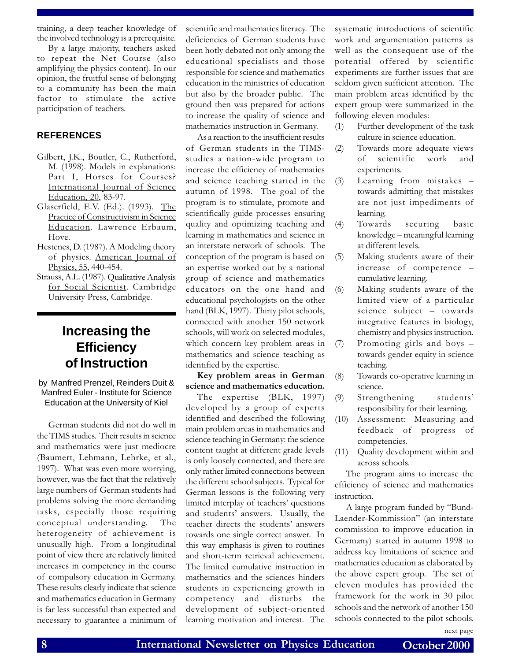training, a deep teacher knowledge of the involved technology is a prerequisite.

By a large majority, teachers asked to repeat the Net Course (also amplifying the physics content). In our opinion, the fruitful sense of belonging to a community has been the main factor to stimulate the active participation of teachers.

#### **REFERENCES**

- Gilbert, J.K., Boutler, C., Rutherford, M. (1998). Models in explanations: Part I, Horses for Courses? International Journal of Science Education, 20, 83-97.
- Glaserfield, E.V. (Ed.). (1993). The Practice of Constructivism in Science Education. Lawrence Erbaum, Hove.
- Hestenes, D. (1987). A Modeling theory of physics. American Journal of Physics, 55, 440-454.
- Strauss, A.L. (1987). Qualitative Analysis for Social Scientist. Cambridge University Press, Cambridge.

### **Increasing the Efficiency of Instruction**

by Manfred Prenzel, Reinders Duit & Manfred Euler - Institute for Science Education at the University of Kiel

German students did not do well in the TIMS studies. Their results in science and mathematics were just mediocre (Baumert, Lehmann, Lehrke, et al., 1997). What was even more worrying, however, was the fact that the relatively large numbers of German students had problems solving the more demanding tasks, especially those requiring conceptual understanding. The heterogeneity of achievement is unusually high. From a longitudinal point of view there are relatively limited increases in competency in the course of compulsory education in Germany. These results clearly indicate that science and mathematics education in Germany is far less successful than expected and necessary to guarantee a minimum of scientific and mathematics literacy. The deficiencies of German students have been hotly debated not only among the educational specialists and those responsible for science and mathematics education in the ministries of education but also by the broader public. The ground then was prepared for actions to increase the quality of science and mathematics instruction in Germany.

As a reaction to the insufficient results of German students in the TIMSstudies a nation-wide program to increase the efficiency of mathematics and science teaching started in the autumn of 1998. The goal of the program is to stimulate, promote and scientifically guide processes ensuring quality and optimizing teaching and learning in mathematics and science in an interstate network of schools. The conception of the program is based on an expertise worked out by a national group of science and mathematics educators on the one hand and educational psychologists on the other hand (BLK, 1997). Thirty pilot schools, connected with another 150 network schools, will work on selected modules, which concern key problem areas in mathematics and science teaching as identified by the expertise.

Key problem areas in German science and mathematics education.

The expertise (BLK, 1997) developed by a group of experts identified and described the following main problem areas in mathematics and science teaching in Germany: the science content taught at different grade levels is only loosely connected, and there are only rather limited connections between the different school subjects. Typical for German lessons is the following very limited interplay of teachers' questions and students' answers. Usually, the teacher directs the students' answers towards one single correct answer. In this way emphasis is given to routines and short-term retrieval achievement. The limited cumulative instruction in mathematics and the sciences hinders students in experiencing growth in competency and disturbs the development of subject-oriented learning motivation and interest. The

systematic introductions of scientific work and argumentation patterns as well as the consequent use of the potential offered by scientific experiments are further issues that are seldom given sufficient attention. The main problem areas identified by the expert group were summarized in the following eleven modules:

- (1) Further development of the task culture in science education.
- (2) Towards more adequate views of scientific work and experiments.
- (3) Learning from mistakes towards admitting that mistakes are not just impediments of learning.
- (4) Towards securing basic knowledge – meaningful learning at different levels.
- (5) Making students aware of their increase of competence cumulative learning.
- (6) Making students aware of the limited view of a particular science subject - towards integrative features in biology, chemistry and physics instruction.
- (7) Promoting girls and boys towards gender equity in science teaching.
- (8) Towards co-operative learning in science.
- (9) Strengthening students responsibility for their learning.
- (10) Assessment: Measuring and feedback of progress of competencies.
- (11) Quality development within and across schools.

The program aims to increase the efficiency of science and mathematics instruction.

A large program funded by "Bund-Laender-Kommission" (an interstate commission to improve education in Germany) started in autumn 1998 to address key limitations of science and mathematics education as elaborated by the above expert group. The set of eleven modules has provided the framework for the work in 30 pilot schools and the network of another 150 schools connected to the pilot schools.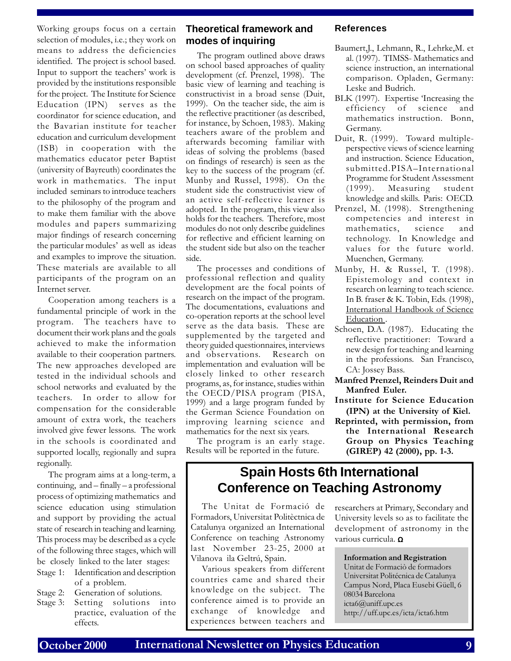Working groups focus on a certain selection of modules, i.e.; they work on means to address the deficiencies identified. The project is school based. Input to support the teachers' work is provided by the institutions responsible for the project. The Institute for Science Education (IPN) serves as the coordinator for science education, and the Bavarian institute for teacher education and curriculum development (ISB) in cooperation with the mathematics educator peter Baptist (university of Bayreuth) coordinates the work in mathematics. The input included seminars to introduce teachers to the philosophy of the program and to make them familiar with the above modules and papers summarizing major findings of research concerning the particular modules' as well as ideas and examples to improve the situation. These materials are available to all participants of the program on an Internet server.

Cooperation among teachers is a fundamental principle of work in the program. The teachers have to document their work plans and the goals achieved to make the information available to their cooperation partners. The new approaches developed are tested in the individual schools and school networks and evaluated by the teachers. In order to allow for compensation for the considerable amount of extra work, the teachers involved give fewer lessons. The work in the schools is coordinated and supported locally, regionally and supra regionally.

The program aims at a long-term, a continuing,  $and - finally - a professional$ process of optimizing mathematics and science education using stimulation and support by providing the actual state of research in teaching and learning. This process may be described as a cycle of the following three stages, which will be closely linked to the later stages:

- Stage 1: Identification and description of a problem.
- Stage 2: Generation of solutions.
- Stage 3: Setting solutions into practice, evaluation of the effects.

#### **Theoretical framework and modes of inquiring**

The program outlined above draws on school based approaches of quality development (cf. Prenzel, 1998). The basic view of learning and teaching is constructivist in a broad sense (Duit, 1999). On the teacher side, the aim is the reflective practitioner (as described, for instance, by Schoen, 1983). Making teachers aware of the problem and afterwards becoming familiar with ideas of solving the problems (based on findings of research) is seen as the key to the success of the program (cf. Munby and Russel, 1998). On the student side the constructivist view of an active self-reflective learner is adopted. In the program, this view also holds for the teachers. Therefore, most modules do not only describe guidelines for reflective and efficient learning on the student side but also on the teacher side.

The processes and conditions of professional reflection and quality development are the focal points of research on the impact of the program. The documentations, evaluations and co-operation reports at the school level serve as the data basis. These are supplemented by the targeted and theory guided questionnaires, interviews and observations. Research on implementation and evaluation will be closely linked to other research programs, as, for instance, studies within the OECD/PISA program (PISA, 1999) and a large program funded by the German Science Foundation on improving learning science and mathematics for the next six years.

The program is an early stage. Results will be reported in the future.

#### **References**

- Baumert,J., Lehmann, R., Lehrke,M. et al. (1997). TIMSS- Mathematics and science instruction, an international comparison. Opladen, Germany: Leske and Budrich.
- BLK (1997). Expertise Increasing the efficiency of science and mathematics instruction. Bonn, Germany.
- Duit, R. (1999). Toward multipleperspective views of science learning and instruction. Science Education, submitted.PISA-International Programme for Student Assessment<br>(1999). Measuring student Measuring student knowledge and skills. Paris: OECD.
- Prenzel, M. (1998). Strengthening competencies and interest in mathematics, science and technology. In Knowledge and values for the future world. Muenchen, Germany.
- Munby, H. & Russel, T. (1998). Epistemology and context in research on learning to teach science. In B. fraser & K. Tobin, Eds. (1998), International Handbook of Science Education.
- Schoen, D.A. (1987). Educating the reflective practitioner: Toward a new design for teaching and learning in the professions. San Francisco, CA: Jossey Bass.
- Manfred Prenzel, Reinders Duit and Manfred Euler.
- Institute for Science Education (IPN) at the University of Kiel.
- Reprinted, with permission, from the International Research Group on Physics Teaching (GIREP) 42 (2000), pp. 1-3.

### **Spain Hosts 6th International Conference on Teaching Astronomy**

The Unitat de Formació de Formadors, Universitat Politèctnica de Catalunya organized an International Conference on teaching Astronomy last November 23-25, 2000 at Vilanova ila Geltrú, Spain.

Various speakers from different countries came and shared their knowledge on the subject. The conference aimed is to provide an exchange of knowledge and experiences between teachers and

researchers at Primary, Secondary and University levels so as to facilitate the development of astronomy in the various curricula. Ω

Information and Registration Unitat de Formaciò de formadors Universitat Politécnica de Catalunya Campus Nord, Placa Eusebi Güell, 6 08034 Barcelona icta6@uniff.upc.es http://uff.upc.es/icta/icta6.htm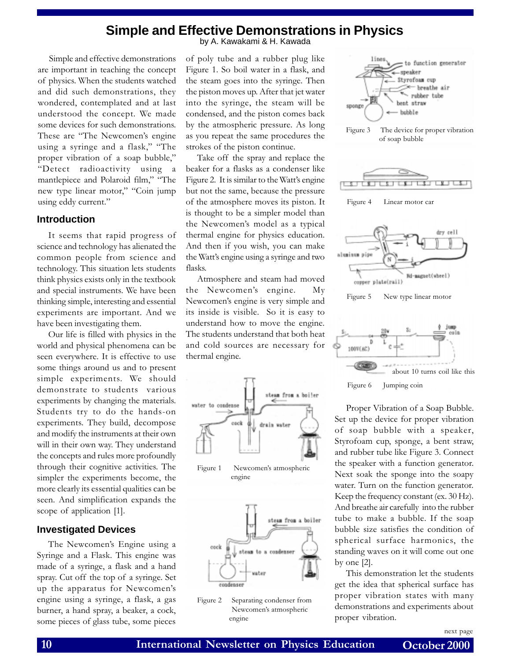### **Simple and Effective Demonstrations in Physics**

Simple and effective demonstrations are important in teaching the concept of physics. When the students watched and did such demonstrations, they wondered, contemplated and at last understood the concept. We made some devices for such demonstrations. These are "The Newcomen's engine using a syringe and a flask," "The proper vibration of a soap bubble," Detect radioactivity using a mantlepiece and Polaroid film," "The new type linear motor," "Coin jump using eddy current.

#### **Introduction**

It seems that rapid progress of science and technology has alienated the common people from science and technology. This situation lets students think physics exists only in the textbook and special instruments. We have been thinking simple, interesting and essential experiments are important. And we have been investigating them.

Our life is filled with physics in the world and physical phenomena can be seen everywhere. It is effective to use some things around us and to present simple experiments. We should demonstrate to students various experiments by changing the materials. Students try to do the hands-on experiments. They build, decompose and modify the instruments at their own will in their own way. They understand the concepts and rules more profoundly through their cognitive activities. The simpler the experiments become, the more clearly its essential qualities can be seen. And simplification expands the scope of application [1].

#### **Investigated Devices**

The Newcomen's Engine using a Syringe and a Flask. This engine was made of a syringe, a flask and a hand spray. Cut off the top of a syringe. Set up the apparatus for Newcomen's engine using a syringe, a flask, a gas burner, a hand spray, a beaker, a cock, some pieces of glass tube, some pieces

by A. Kawakami & H. Kawada

of poly tube and a rubber plug like Figure 1. So boil water in a flask, and the steam goes into the syringe. Then the piston moves up. After that jet water into the syringe, the steam will be condensed, and the piston comes back by the atmospheric pressure. As long as you repeat the same procedures the strokes of the piston continue.

Take off the spray and replace the beaker for a flasks as a condenser like Figure 2. It is similar to the Watt's engine but not the same, because the pressure of the atmosphere moves its piston. It is thought to be a simpler model than the Newcomen's model as a typical thermal engine for physics education. And then if you wish, you can make the Watt's engine using a syringe and two flasks.

Atmosphere and steam had moved the Newcomen's engine. My Newcomen's engine is very simple and its inside is visible. So it is easy to understand how to move the engine. The students understand that both heat and cold sources are necessary for thermal engine.











Figure 3 The device for proper vibration of soap bubble



Figure 4 Linear motor car



Figure 5 New type linear motor



Proper Vibration of a Soap Bubble. Set up the device for proper vibration of soap bubble with a speaker, Styrofoam cup, sponge, a bent straw, and rubber tube like Figure 3. Connect the speaker with a function generator. Next soak the sponge into the soapy water. Turn on the function generator. Keep the frequency constant (ex. 30 Hz). And breathe air carefully into the rubber tube to make a bubble. If the soap bubble size satisfies the condition of spherical surface harmonics, the standing waves on it will come out one by one [2].

This demonstration let the students get the idea that spherical surface has proper vibration states with many demonstrations and experiments about proper vibration.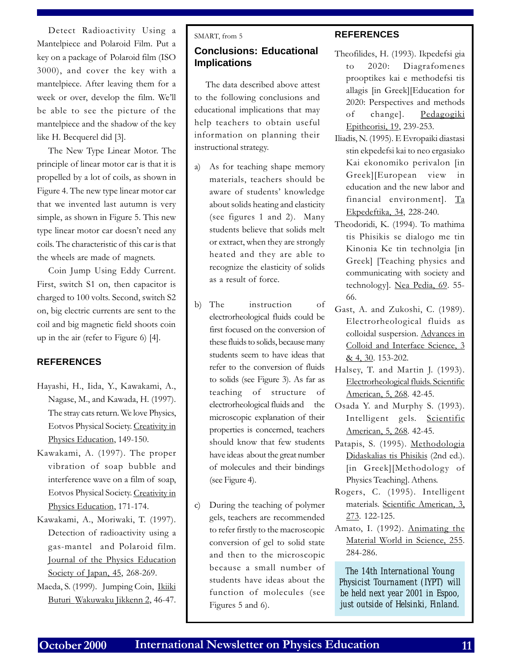Detect Radioactivity Using a Mantelpiece and Polaroid Film. Put a key on a package of Polaroid film (ISO 3000), and cover the key with a mantelpiece. After leaving them for a week or over, develop the film. We'll be able to see the picture of the mantelpiece and the shadow of the key like H. Becquerel did [3].

The New Type Linear Motor. The principle of linear motor car is that it is propelled by a lot of coils, as shown in Figure 4. The new type linear motor car that we invented last autumn is very simple, as shown in Figure 5. This new type linear motor car doesn't need any coils. The characteristic of this car is that the wheels are made of magnets.

Coin Jump Using Eddy Current. First, switch S1 on, then capacitor is charged to 100 volts. Second, switch S2 on, big electric currents are sent to the coil and big magnetic field shoots coin up in the air (refer to Figure 6) [4].

#### **REFERENCES**

- Hayashi, H., Iida, Y., Kawakami, A., Nagase, M., and Kawada, H. (1997). The stray cats return. We love Physics, Eotvos Physical Society. Creativity in Physics Education, 149-150.
- Kawakami, A. (1997). The proper vibration of soap bubble and interference wave on a film of soap, Eotvos Physical Society. Creativity in Physics Education, 171-174.
- Kawakami, A., Moriwaki, T. (1997). Detection of radioactivity using a gas-mantel and Polaroid film. Journal of the Physics Education Society of Japan, 45, 268-269.
- Maeda, S. (1999). Jumping Coin, Ikiiki Buturi Wakuwaku Jikkenn 2, 46-47.

#### SMART, from 5

#### **Conclusions: Educational Implications**

The data described above attest to the following conclusions and educational implications that may help teachers to obtain useful information on planning their instructional strategy.

- a) As for teaching shape memory materials, teachers should be aware of students' knowledge about solids heating and elasticity (see figures 1 and 2). Many students believe that solids melt or extract, when they are strongly heated and they are able to recognize the elasticity of solids as a result of force.
- b) The instruction of electrorheological fluids could be first focused on the conversion of these fluids to solids, because many students seem to have ideas that refer to the conversion of fluids to solids (see Figure 3). As far as teaching of structure of electrorheological fluids and the microscopic explanation of their properties is concerned, teachers should know that few students have ideas about the great number of molecules and their bindings (see Figure 4).
- c) During the teaching of polymer gels, teachers are recommended to refer firstly to the macroscopic conversion of gel to solid state and then to the microscopic because a small number of students have ideas about the function of molecules (see Figures 5 and 6).

#### **REFERENCES**

- Theofilides, H. (1993). Ikpedefsi gia to 2020: Diagrafomenes prooptikes kai e methodefsi tis allagis [in Greek][Education for 2020: Perspectives and methods of change]. Pedagogiki Epitheorisi, 19, 239-253.
- Iliadis, N. (1995). E Evropaiki diastasi stin ekpedefsi kai to neo ergasiako Kai ekonomiko perivalon [in Greek][European view in education and the new labor and financial environment]. Ta Ekpedeftika, 34, 228-240.
- Theodoridi, K. (1994). To mathima tis Phisikis se dialogo me tin Kinonia Ke tin technolgia [in Greek] [Teaching physics and communicating with society and technology]. Nea Pedia, 69. 55- 66.
- Gast, A. and Zukoshi, C. (1989). Electrorheological fluids as colloidal suspersion. Advances in Colloid and Interface Science, 3 & 4, 30. 153-202.
- Halsey, T. and Martin J. (1993). Electrorheological fluids. Scientific American, 5, 268. 42-45.
- Osada Y. and Murphy S. (1993). Intelligent gels. Scientific American, 5, 268. 42-45.
- Patapis, S. (1995). Methodologia Didaskalias tis Phisikis (2nd ed.). [in Greek][Methodology of Physics Teaching]. Athens.
- Rogers, C. (1995). Intelligent materials. Scientific American, 3, 273. 122-125.
- Amato, I. (1992). Animating the Material World in Science, 255. 284-286.

*The 14th International Young Physicist Tournament (IYPT) will be held next year 2001 in Espoo, just outside of Helsinki, Finland.*